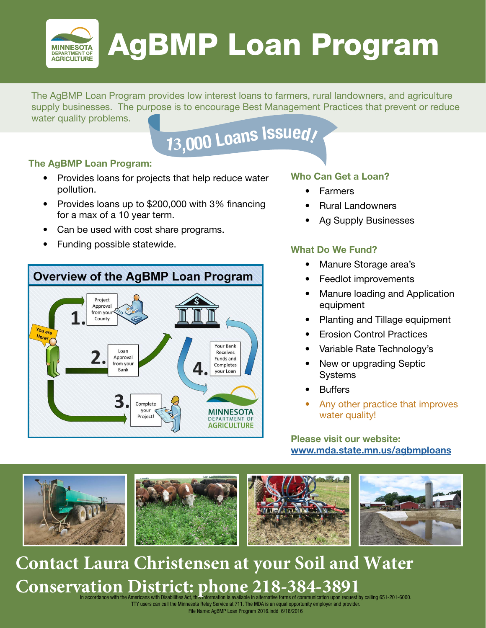

# AgBMP Loan Program

The AgBMP Loan Program provides low interest loans to farmers, rural landowners, and agriculture supply businesses. The purpose is to encourage Best Management Practices that prevent or reduce water quality problems.

# **<sup>1</sup>3,00<sup>0</sup> <sup>L</sup>oan<sup>s</sup> <sup>I</sup>ssued!**

# **The AgBMP Loan Program:**

- Provides loans for projects that help reduce water pollution.
- Provides loans up to \$200,000 with 3% financing for a max of a 10 year term.
- Can be used with cost share programs.
- Funding possible statewide.



## **Who Can Get a Loan?**

- **Farmers**
- Rural Landowners
- Ag Supply Businesses

# **What Do We Fund?**

- Manure Storage area's
- Feedlot improvements
- Manure loading and Application equipment
- Planting and Tillage equipment
- Erosion Control Practices
- Variable Rate Technology's
- New or upgrading Septic **Systems**
- **Buffers**
- Any other practice that improves water quality!

**Please visit our website: [www.mda.state.mn.us/agbmploans](http://www.mda.state.mn.us/agbmploans)**



# Conservation District: phone 218-384-3891<br>In accordance with the Americans with Disabilities Act, this information is available in alternative forms of communication upon request by calling 651-201-6000. **Contact Laura Christensen at your Soil and Water**

TTY users can call the Minnesota Relay Service at 711. The MDA is an equal opportunity employer and provider. File Name: AgBMP Loan Program 2016.indd 6/16/2016